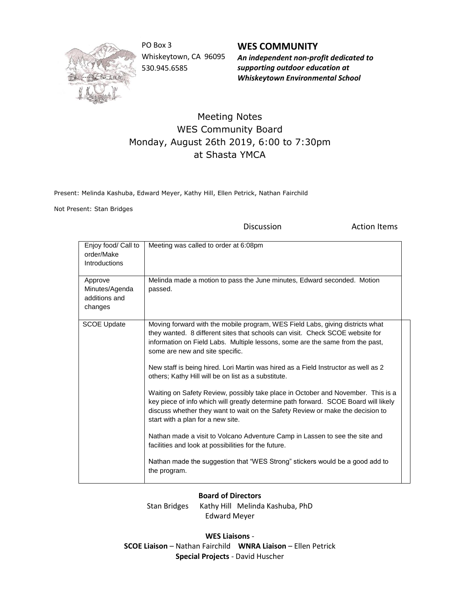

PO Box 3 Whiskeytown, CA 96095 530.945.6585

**WES COMMUNITY** *An independent non-profit dedicated to supporting outdoor education at Whiskeytown Environmental School*

## Meeting Notes WES Community Board Monday, August 26th 2019, 6:00 to 7:30pm at Shasta YMCA

Present: Melinda Kashuba, Edward Meyer, Kathy Hill, Ellen Petrick, Nathan Fairchild

Not Present: Stan Bridges

Discussion **Action Items** 

| Enjoy food/ Call to<br>order/Make<br><b>Introductions</b> | Meeting was called to order at 6:08pm                                                                                                                                                                                                                                                                                                                                                                                                                                                                                                                                                                                                                                                                                                                                                                                                                                                                                                                                    |
|-----------------------------------------------------------|--------------------------------------------------------------------------------------------------------------------------------------------------------------------------------------------------------------------------------------------------------------------------------------------------------------------------------------------------------------------------------------------------------------------------------------------------------------------------------------------------------------------------------------------------------------------------------------------------------------------------------------------------------------------------------------------------------------------------------------------------------------------------------------------------------------------------------------------------------------------------------------------------------------------------------------------------------------------------|
| Approve<br>Minutes/Agenda<br>additions and<br>changes     | Melinda made a motion to pass the June minutes, Edward seconded. Motion<br>passed.                                                                                                                                                                                                                                                                                                                                                                                                                                                                                                                                                                                                                                                                                                                                                                                                                                                                                       |
| <b>SCOE Update</b>                                        | Moving forward with the mobile program, WES Field Labs, giving districts what<br>they wanted. 8 different sites that schools can visit. Check SCOE website for<br>information on Field Labs. Multiple lessons, some are the same from the past,<br>some are new and site specific.<br>New staff is being hired. Lori Martin was hired as a Field Instructor as well as 2<br>others; Kathy Hill will be on list as a substitute.<br>Waiting on Safety Review, possibly take place in October and November. This is a<br>key piece of info which will greatly determine path forward. SCOE Board will likely<br>discuss whether they want to wait on the Safety Review or make the decision to<br>start with a plan for a new site.<br>Nathan made a visit to Volcano Adventure Camp in Lassen to see the site and<br>facilities and look at possibilities for the future.<br>Nathan made the suggestion that "WES Strong" stickers would be a good add to<br>the program. |

## **Board of Directors**

Stan Bridges Kathy Hill Melinda Kashuba, PhD Edward Meyer

**WES Liaisons** - **SCOE Liaison** – Nathan Fairchild **WNRA Liaison** – Ellen Petrick **Special Projects** - David Huscher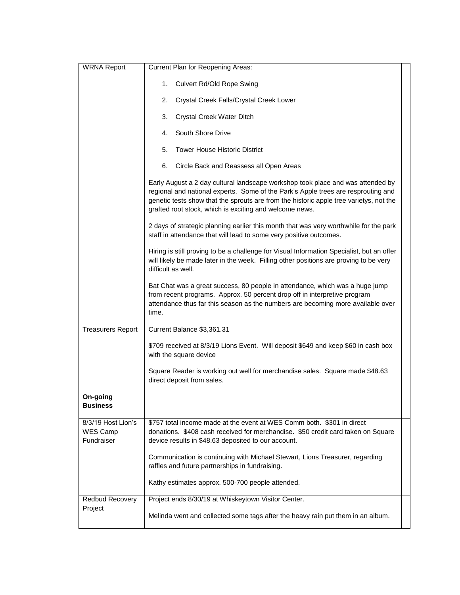| <b>WRNA Report</b>                                  | Current Plan for Reopening Areas:                                                                                                                                                                                                                                                                                         |
|-----------------------------------------------------|---------------------------------------------------------------------------------------------------------------------------------------------------------------------------------------------------------------------------------------------------------------------------------------------------------------------------|
|                                                     | 1.<br>Culvert Rd/Old Rope Swing                                                                                                                                                                                                                                                                                           |
|                                                     | 2.<br>Crystal Creek Falls/Crystal Creek Lower                                                                                                                                                                                                                                                                             |
|                                                     | Crystal Creek Water Ditch<br>3.                                                                                                                                                                                                                                                                                           |
|                                                     | South Shore Drive<br>4.                                                                                                                                                                                                                                                                                                   |
|                                                     | 5.<br><b>Tower House Historic District</b>                                                                                                                                                                                                                                                                                |
|                                                     | Circle Back and Reassess all Open Areas<br>6.                                                                                                                                                                                                                                                                             |
|                                                     | Early August a 2 day cultural landscape workshop took place and was attended by<br>regional and national experts. Some of the Park's Apple trees are resprouting and<br>genetic tests show that the sprouts are from the historic apple tree varietys, not the<br>grafted root stock, which is exciting and welcome news. |
|                                                     | 2 days of strategic planning earlier this month that was very worthwhile for the park<br>staff in attendance that will lead to some very positive outcomes.                                                                                                                                                               |
|                                                     | Hiring is still proving to be a challenge for Visual Information Specialist, but an offer<br>will likely be made later in the week. Filling other positions are proving to be very<br>difficult as well.                                                                                                                  |
|                                                     | Bat Chat was a great success, 80 people in attendance, which was a huge jump<br>from recent programs. Approx. 50 percent drop off in interpretive program<br>attendance thus far this season as the numbers are becoming more available over<br>time.                                                                     |
| <b>Treasurers Report</b>                            | Current Balance \$3,361.31                                                                                                                                                                                                                                                                                                |
|                                                     | \$709 received at 8/3/19 Lions Event. Will deposit \$649 and keep \$60 in cash box<br>with the square device                                                                                                                                                                                                              |
|                                                     | Square Reader is working out well for merchandise sales. Square made \$48.63<br>direct deposit from sales.                                                                                                                                                                                                                |
| On-going<br><b>Business</b>                         |                                                                                                                                                                                                                                                                                                                           |
| 8/3/19 Host Lion's<br><b>WES Camp</b><br>Fundraiser | \$757 total income made at the event at WES Comm both. \$301 in direct<br>donations. \$408 cash received for merchandise. \$50 credit card taken on Square<br>device results in \$48.63 deposited to our account.                                                                                                         |
|                                                     | Communication is continuing with Michael Stewart, Lions Treasurer, regarding<br>raffles and future partnerships in fundraising.                                                                                                                                                                                           |
|                                                     | Kathy estimates approx. 500-700 people attended.                                                                                                                                                                                                                                                                          |
| Redbud Recovery                                     | Project ends 8/30/19 at Whiskeytown Visitor Center.                                                                                                                                                                                                                                                                       |
| Project                                             | Melinda went and collected some tags after the heavy rain put them in an album.                                                                                                                                                                                                                                           |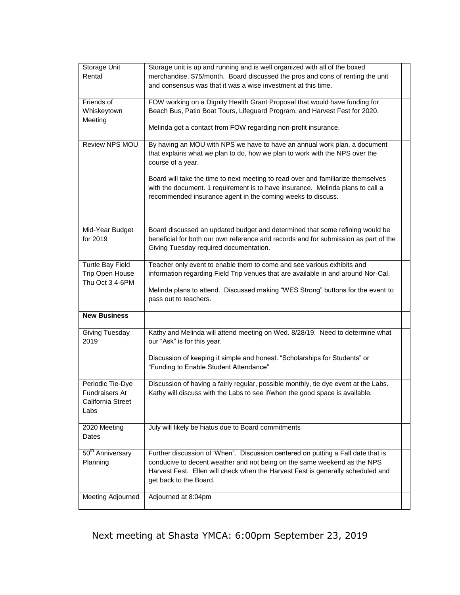| Storage Unit<br>Rental                                                 | Storage unit is up and running and is well organized with all of the boxed<br>merchandise. \$75/month. Board discussed the pros and cons of renting the unit<br>and consensus was that it was a wise investment at this time.                                                                                                                                                                                      |  |
|------------------------------------------------------------------------|--------------------------------------------------------------------------------------------------------------------------------------------------------------------------------------------------------------------------------------------------------------------------------------------------------------------------------------------------------------------------------------------------------------------|--|
| Friends of<br>Whiskeytown<br>Meeting                                   | FOW working on a Dignity Health Grant Proposal that would have funding for<br>Beach Bus, Patio Boat Tours, Lifeguard Program, and Harvest Fest for 2020.<br>Melinda got a contact from FOW regarding non-profit insurance.                                                                                                                                                                                         |  |
| Review NPS MOU                                                         | By having an MOU with NPS we have to have an annual work plan, a document<br>that explains what we plan to do, how we plan to work with the NPS over the<br>course of a year.<br>Board will take the time to next meeting to read over and familiarize themselves<br>with the document. 1 requirement is to have insurance. Melinda plans to call a<br>recommended insurance agent in the coming weeks to discuss. |  |
| Mid-Year Budget<br>for 2019                                            | Board discussed an updated budget and determined that some refining would be<br>beneficial for both our own reference and records and for submission as part of the<br>Giving Tuesday required documentation.                                                                                                                                                                                                      |  |
| <b>Turtle Bay Field</b><br>Trip Open House<br>Thu Oct 3 4-6PM          | Teacher only event to enable them to come and see various exhibits and<br>information regarding Field Trip venues that are available in and around Nor-Cal.<br>Melinda plans to attend. Discussed making "WES Strong" buttons for the event to<br>pass out to teachers.                                                                                                                                            |  |
| <b>New Business</b>                                                    |                                                                                                                                                                                                                                                                                                                                                                                                                    |  |
| Giving Tuesday<br>2019                                                 | Kathy and Melinda will attend meeting on Wed. 8/28/19. Need to determine what<br>our "Ask" is for this year.<br>Discussion of keeping it simple and honest. "Scholarships for Students" or<br>"Funding to Enable Student Attendance"                                                                                                                                                                               |  |
| Periodic Tie-Dye<br><b>Fundraisers At</b><br>California Street<br>Labs | Discussion of having a fairly regular, possible monthly, tie dye event at the Labs.<br>Kathy will discuss with the Labs to see if/when the good space is available.                                                                                                                                                                                                                                                |  |
| 2020 Meeting<br>Dates                                                  | July will likely be hiatus due to Board commitments                                                                                                                                                                                                                                                                                                                                                                |  |
| 50 <sup>th</sup> Anniversary<br>Planning                               | Further discussion of 'When". Discussion centered on putting a Fall date that is<br>conducive to decent weather and not being on the same weekend as the NPS<br>Harvest Fest. Ellen will check when the Harvest Fest is generally scheduled and<br>get back to the Board.                                                                                                                                          |  |
| Meeting Adjourned                                                      | Adjourned at 8:04pm                                                                                                                                                                                                                                                                                                                                                                                                |  |

## Next meeting at Shasta YMCA: 6:00pm September 23, 2019